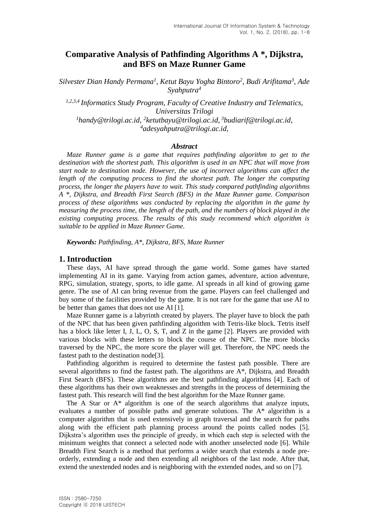# **Comparative Analysis of Pathfinding Algorithms A \*, Dijkstra, and BFS on Maze Runner Game**

*Silvester Dian Handy Permana<sup>1</sup> , Ketut Bayu Yogha Bintoro<sup>2</sup> , Budi Arifitama<sup>3</sup> , Ade Syahputra<sup>4</sup>*

*1,2,3,4 Informatics Study Program, Faculty of Creative Industry and Telematics, Universitas Trilogi* <sup>1</sup>handy@trilogi.ac.id, <sup>2</sup>ketutbayu@trilogi.ac.id, <sup>3</sup>budiarif@trilogi.ac.id, *<sup>4</sup>adesyahputra@trilogi.ac.id,*

#### *Abstract*

*Maze Runner game is a game that requires pathfinding algorithm to get to the destination with the shortest path. This algorithm is used in an NPC that will move from start node to destination node. However, the use of incorrect algorithms can affect the length of the computing process to find the shortest path. The longer the computing process, the longer the players have to wait. This study compared pathfinding algorithms A \*, Dijkstra, and Breadth First Search (BFS) in the Maze Runner game. Comparison process of these algorithms was conducted by replacing the algorithm in the game by measuring the process time, the length of the path, and the numbers of block played in the existing computing process. The results of this study recommend which algorithm is suitable to be applied in Maze Runner Game.*

*Keywords: Pathfinding, A\*, Dijkstra, BFS, Maze Runner*

#### **1. Introduction**

These days, AI have spread through the game world. Some games have started implementing AI in its game. Varying from action games, adventure, action adventure, RPG, simulation, strategy, sports, to idle game. AI spreads in all kind of growing game genre. The use of AI can bring revenue from the game. Players can feel challenged and buy some of the facilities provided by the game. It is not rare for the game that use AI to be better than games that does not use AI [1].

Maze Runner game is a labyrinth created by players. The player have to block the path of the NPC that has been given pathfinding algorithm with Tetris-like block. Tetris itself has a block like letter I, J, L, O, S, T, and Z in the game [2]. Players are provided with various blocks with these letters to block the course of the NPC. The more blocks traversed by the NPC, the more score the player will get. Therefore, the NPC needs the fastest path to the destination node[3].

Pathfinding algorithm is required to determine the fastest path possible. There are several algorithms to find the fastest path. The algorithms are A\*, Dijkstra, and Breadth First Search (BFS). These algorithms are the best pathfinding algorithms [4]. Each of these algorithms has their own weaknesses and strengths in the process of determining the fastest path. This research will find the best algorithm for the Maze Runner game.

The A Star or A\* algorithm is one of the search algorithms that analyze inputs, evaluates a number of possible paths and generate solutions. The A\* algorithm is a computer algorithm that is used extensively in graph traversal and the search for paths along with the efficient path planning process around the points called nodes [5]. Dijkstra's algorithm uses the principle of greedy, in which each step is selected with the minimum weights that connect a selected node with another unselected node [6]. While Breadth First Search is a method that performs a wider search that extends a node preorderly, extending a node and then extending all neighbors of the last node. After that, extend the unextended nodes and is neighboring with the extended nodes, and so on [7].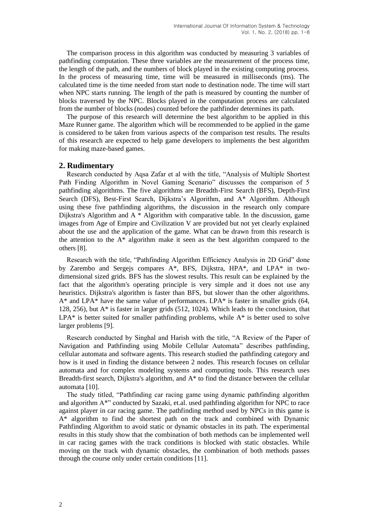The comparison process in this algorithm was conducted by measuring 3 variables of pathfinding computation. These three variables are the measurement of the process time, the length of the path, and the numbers of block played in the existing computing process. In the process of measuring time, time will be measured in milliseconds (ms). The calculated time is the time needed from start node to destination node. The time will start when NPC starts running. The length of the path is measured by counting the number of blocks traversed by the NPC. Blocks played in the computation process are calculated from the number of blocks (nodes) counted before the pathfinder determines its path.

The purpose of this research will determine the best algorithm to be applied in this Maze Runner game. The algorithm which will be recommended to be applied in the game is considered to be taken from various aspects of the comparison test results. The results of this research are expected to help game developers to implements the best algorithm for making maze-based games.

### **2. Rudimentary**

Research conducted by Aqsa Zafar et al with the title, "Analysis of Multiple Shortest Path Finding Algorithm in Novel Gaming Scenario" discusses the comparison of 5 pathfinding algorithms. The five algorithms are Breadth-First Search (BFS), Depth-First Search (DFS), Best-First Search, Dijkstra's Algorithm, and A\* Algorithm. Although using these five pathfinding algorithms, the discussion in the research only compare Dijkstra's Algorithm and A \* Algorithm with comparative table. In the discussion, game images from Age of Empire and Civilization V are provided but not yet clearly explained about the use and the application of the game. What can be drawn from this research is the attention to the A\* algorithm make it seen as the best algorithm compared to the others [8].

Research with the title, "Pathfinding Algorithm Efficiency Analysis in 2D Grid" done by Zarembo and Sergejs compares A\*, BFS, Dijkstra, HPA\*, and LPA\* in twodimensional sized grids. BFS has the slowest results. This result can be explained by the fact that the algorithm's operating principle is very simple and it does not use any heuristics. Dijkstra's algorithm is faster than BFS, but slower than the other algorithms. A\* and LPA\* have the same value of performances. LPA\* is faster in smaller grids (64, 128, 256), but A\* is faster in larger grids (512, 1024). Which leads to the conclusion, that  $LPA*$  is better suited for smaller pathfinding problems, while  $A*$  is better used to solve larger problems [9].

Research conducted by Singhal and Harish with the title, "A Review of the Paper of Navigation and Pathfinding using Mobile Cellular Automata" describes pathfinding, cellular automata and software agents. This research studied the pathfinding category and how is it used in finding the distance between 2 nodes. This research focuses on cellular automata and for complex modeling systems and computing tools. This research uses Breadth-first search, Dijkstra's algorithm, and  $A^*$  to find the distance between the cellular automata [10].

The study titled, "Pathfinding car racing game using dynamic pathfinding algorithm and algorithm A\*" conducted by Sazaki, et.al. used pathfinding algorithm for NPC to race against player in car racing game. The pathfinding method used by NPCs in this game is A\* algorithm to find the shortest path on the track and combined with Dynamic Pathfinding Algorithm to avoid static or dynamic obstacles in its path. The experimental results in this study show that the combination of both methods can be implemented well in car racing games with the track conditions is blocked with static obstacles. While moving on the track with dynamic obstacles, the combination of both methods passes through the course only under certain conditions [11].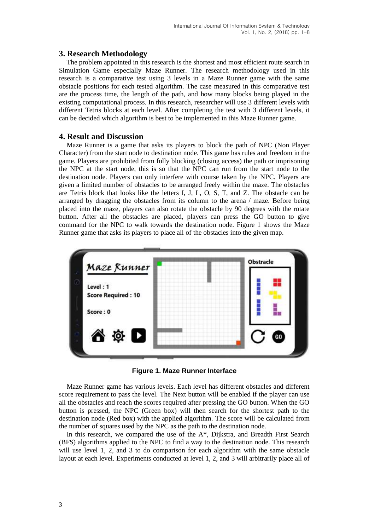### **3. Research Methodology**

The problem appointed in this research is the shortest and most efficient route search in Simulation Game especially Maze Runner. The research methodology used in this research is a comparative test using 3 levels in a Maze Runner game with the same obstacle positions for each tested algorithm. The case measured in this comparative test are the process time, the length of the path, and how many blocks being played in the existing computational process. In this research, researcher will use 3 different levels with different Tetris blocks at each level. After completing the test with 3 different levels, it can be decided which algorithm is best to be implemented in this Maze Runner game.

### **4. Result and Discussion**

Maze Runner is a game that asks its players to block the path of NPC (Non Player Character) from the start node to destination node. This game has rules and freedom in the game. Players are prohibited from fully blocking (closing access) the path or imprisoning the NPC at the start node, this is so that the NPC can run from the start node to the destination node. Players can only interfere with course taken by the NPC. Players are given a limited number of obstacles to be arranged freely within the maze. The obstacles are Tetris block that looks like the letters I, J, L, O, S, T, and Z. The obstacle can be arranged by dragging the obstacles from its column to the arena / maze. Before being placed into the maze, players can also rotate the obstacle by 90 degrees with the rotate button. After all the obstacles are placed, players can press the GO button to give command for the NPC to walk towards the destination node. Figure 1 shows the Maze Runner game that asks its players to place all of the obstacles into the given map.



**Figure 1. Maze Runner Interface**

Maze Runner game has various levels. Each level has different obstacles and different score requirement to pass the level. The Next button will be enabled if the player can use all the obstacles and reach the scores required after pressing the GO button. When the GO button is pressed, the NPC (Green box) will then search for the shortest path to the destination node (Red box) with the applied algorithm. The score will be calculated from the number of squares used by the NPC as the path to the destination node.

In this research, we compared the use of the A\*, Dijkstra, and Breadth First Search (BFS) algorithms applied to the NPC to find a way to the destination node. This research will use level 1, 2, and 3 to do comparison for each algorithm with the same obstacle layout at each level. Experiments conducted at level 1, 2, and 3 will arbitrarily place all of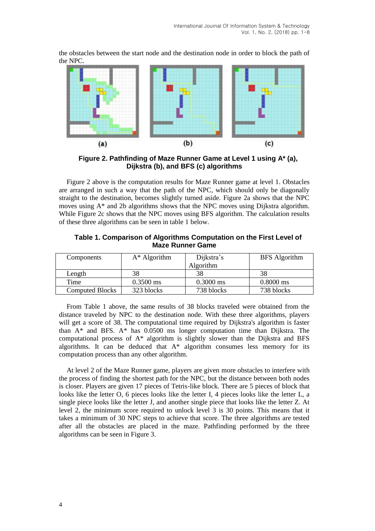the obstacles between the start node and the destination node in order to block the path of the NPC.



**Figure 2. Pathfinding of Maze Runner Game at Level 1 using A\* (a), Dijkstra (b), and BFS (c) algorithms**

Figure 2 above is the computation results for Maze Runner game at level 1. Obstacles are arranged in such a way that the path of the NPC, which should only be diagonally straight to the destination, becomes slightly turned aside. Figure 2a shows that the NPC moves using A\* and 2b algorithms shows that the NPC moves using Dijkstra algorithm. While Figure 2c shows that the NPC moves using BFS algorithm. The calculation results of these three algorithms can be seen in table 1 below.

| Components             | $A^*$ Algorithm     | Dijkstra's<br>Algorithm | <b>BFS</b> Algorithm |
|------------------------|---------------------|-------------------------|----------------------|
| Length                 | 38                  | 38                      | 38                   |
| Time                   | $0.3500 \text{ ms}$ | $0.3000$ ms             | $0.8000$ ms          |
| <b>Computed Blocks</b> | 323 blocks          | 738 blocks              | 738 blocks           |

**Table 1. Comparison of Algorithms Computation on the First Level of Maze Runner Game**

From Table 1 above, the same results of 38 blocks traveled were obtained from the distance traveled by NPC to the destination node. With these three algorithms, players will get a score of 38. The computational time required by Dijkstra's algorithm is faster than A\* and BFS. A\* has 0.0500 ms longer computation time than Dijkstra. The computational process of A\* algorithm is slightly slower than the Dijkstra and BFS algorithms. It can be deduced that  $A^*$  algorithm consumes less memory for its computation process than any other algorithm.

At level 2 of the Maze Runner game, players are given more obstacles to interfere with the process of finding the shortest path for the NPC, but the distance between both nodes is closer. Players are given 17 pieces of Tetris-like block. There are 5 pieces of block that looks like the letter O, 6 pieces looks like the letter I, 4 pieces looks like the letter L, a single piece looks like the letter J, and another single piece that looks like the letter Z. At level 2, the minimum score required to unlock level 3 is 30 points. This means that it takes a minimum of 30 NPC steps to achieve that score. The three algorithms are tested after all the obstacles are placed in the maze. Pathfinding performed by the three algorithms can be seen in Figure 3.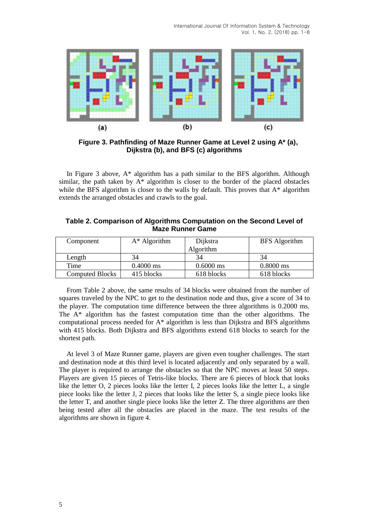

**Figure 3. Pathfinding of Maze Runner Game at Level 2 using A\* (a), Dijkstra (b), and BFS (c) algorithms**

In Figure 3 above, A\* algorithm has a path similar to the BFS algorithm. Although similar, the path taken by  $A^*$  algorithm is closer to the border of the placed obstacles while the BFS algorithm is closer to the walls by default. This proves that  $A^*$  algorithm extends the arranged obstacles and crawls to the goal.

| Table 2. Comparison of Algorithms Computation on the Second Level of |  |  |  |
|----------------------------------------------------------------------|--|--|--|
| <b>Maze Runner Game</b>                                              |  |  |  |

| Component              | $A^*$ Algorithm     | Dijkstra    | <b>BFS</b> Algorithm |
|------------------------|---------------------|-------------|----------------------|
|                        |                     | Algorithm   |                      |
| Length                 | 34                  |             | 34                   |
| Time                   | $0.4000 \text{ ms}$ | $0.6000$ ms | $0.8000$ ms          |
| <b>Computed Blocks</b> | 415 blocks          | 618 blocks  | 618 blocks           |

From Table 2 above, the same results of 34 blocks were obtained from the number of squares traveled by the NPC to get to the destination node and thus, give a score of 34 to the player. The computation time difference between the three algorithms is 0.2000 ms. The A\* algorithm has the fastest computation time than the other algorithms. The computational process needed for A\* algorithm is less than Dijkstra and BFS algorithms with 415 blocks. Both Dijkstra and BFS algorithms extend 618 blocks to search for the shortest path.

At level 3 of Maze Runner game, players are given even tougher challenges. The start and destination node at this third level is located adjacently and only separated by a wall. The player is required to arrange the obstacles so that the NPC moves at least 50 steps. Players are given 15 pieces of Tetris-like blocks. There are 6 pieces of block that looks like the letter O, 2 pieces looks like the letter I, 2 pieces looks like the letter L, a single piece looks like the letter J, 2 pieces that looks like the letter S, a single piece looks like the letter T, and another single piece looks like the letter Z. The three algorithms are then being tested after all the obstacles are placed in the maze. The test results of the algorithms are shown in figure 4.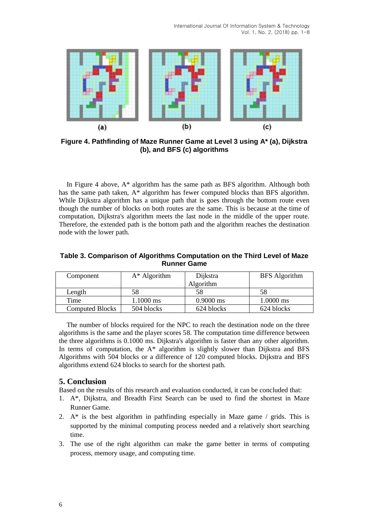

**Figure 4. Pathfinding of Maze Runner Game at Level 3 using A\* (a), Dijkstra (b), and BFS (c) algorithms**

In Figure 4 above, A\* algorithm has the same path as BFS algorithm. Although both has the same path taken, A\* algorithm has fewer computed blocks than BFS algorithm. While Dijkstra algorithm has a unique path that is goes through the bottom route even though the number of blocks on both routes are the same. This is because at the time of computation, Dijkstra's algorithm meets the last node in the middle of the upper route. Therefore, the extended path is the bottom path and the algorithm reaches the destination node with the lower path.

| Table 3. Comparison of Algorithms Computation on the Third Level of Maze |
|--------------------------------------------------------------------------|
| <b>Runner Game</b>                                                       |

| Component              | $A^*$ Algorithm     | Dijkstra    | <b>BFS</b> Algorithm |
|------------------------|---------------------|-------------|----------------------|
|                        |                     | Algorithm   |                      |
| Length                 | 58                  | 58          | 58                   |
| Time                   | $1.1000 \text{ ms}$ | $0.9000$ ms | $1.0000 \text{ ms}$  |
| <b>Computed Blocks</b> | 504 blocks          | 624 blocks  | 624 blocks           |

The number of blocks required for the NPC to reach the destination node on the three algorithms is the same and the player scores 58. The computation time difference between the three algorithms is 0.1000 ms. Dijkstra's algorithm is faster than any other algorithm. In terms of computation, the  $A^*$  algorithm is slightly slower than Dijkstra and BFS Algorithms with 504 blocks or a difference of 120 computed blocks. Dijkstra and BFS algorithms extend 624 blocks to search for the shortest path.

# **5. Conclusion**

Based on the results of this research and evaluation conducted, it can be concluded that:

- 1. A\*, Dijkstra, and Breadth First Search can be used to find the shortest in Maze Runner Game.
- 2.  $A^*$  is the best algorithm in pathfinding especially in Maze game / grids. This is supported by the minimal computing process needed and a relatively short searching time.
- 3. The use of the right algorithm can make the game better in terms of computing process, memory usage, and computing time.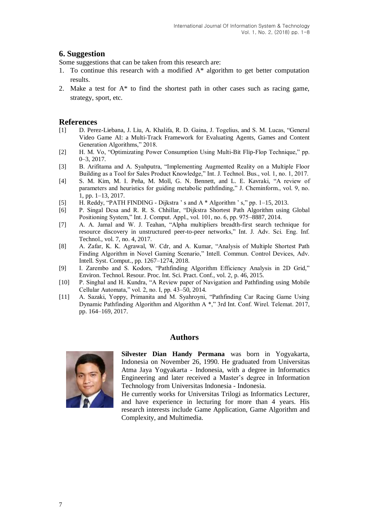# **6. Suggestion**

Some suggestions that can be taken from this research are:

- 1. To continue this research with a modified A\* algorithm to get better computation results.
- 2. Make a test for  $A^*$  to find the shortest path in other cases such as racing game, strategy, sport, etc.

### **References**

- [1] D. Perez-Liebana, J. Liu, A. Khalifa, R. D. Gaina, J. Togelius, and S. M. Lucas, "General Video Game AI: a Multi-Track Framework for Evaluating Agents, Games and Content Generation Algorithms," 2018.
- [2] H. M. Vo, "Optimizating Power Consumption Using Multi-Bit Flip-Flop Technique," pp. 0–3, 2017.
- [3] B. Arifitama and A. Syahputra, "Implementing Augmented Reality on a Multiple Floor Building as a Tool for Sales Product Knowledge," Int. J. Technol. Bus., vol. 1, no. 1, 2017.
- [4] S. M. Kim, M. I. Peña, M. Moll, G. N. Bennett, and L. E. Kavraki, "A review of parameters and heuristics for guiding metabolic pathfinding," J. Cheminform., vol. 9, no. 1, pp. 1–13, 2017.
- [5] H. Reddy, "PATH FINDING Dijkstra ' s and A \* Algorithm ' s," pp. 1–15, 2013.
- [6] P. Singal Dcsa and R. R. S. Chhillar, "Dijkstra Shortest Path Algorithm using Global Positioning System," Int. J. Comput. Appl., vol. 101, no. 6, pp. 975–8887, 2014.
- [7] A. A. Jamal and W. J. Teahan, "Alpha multipliers breadth-first search technique for resource discovery in unstructured peer-to-peer networks," Int. J. Adv. Sci. Eng. Inf. Technol., vol. 7, no. 4, 2017.
- [8] A. Zafar, K. K. Agrawal, W. Cdr, and A. Kumar, "Analysis of Multiple Shortest Path Finding Algorithm in Novel Gaming Scenario," Intell. Commun. Control Devices, Adv. Intell. Syst. Comput., pp. 1267–1274, 2018.
- [9] I. Zarembo and S. Kodors, "Pathfinding Algorithm Efficiency Analysis in 2D Grid," Environ. Technol. Resour. Proc. Int. Sci. Pract. Conf., vol. 2, p. 46, 2015.
- [10] P. Singhal and H. Kundra, "A Review paper of Navigation and Pathfinding using Mobile Cellular Automata," vol. 2, no. I, pp. 43–50, 2014.
- [11] A. Sazaki, Yoppy, Primanita and M. Syahroyni, "Pathfinding Car Racing Game Using Dynamic Pathfinding Algorithm and Algorithm A \*," 3rd Int. Conf. Wirel. Telemat. 2017, pp. 164–169, 2017.

## **Authors**



**Silvester Dian Handy Permana** was born in Yogyakarta, Indonesia on November 26, 1990. He graduated from Universitas Atma Jaya Yogyakarta - Indonesia, with a degree in Informatics Engineering and later received a Master's degree in Information Technology from Universitas Indonesia - Indonesia.

He currently works for Universitas Trilogi as Informatics Lecturer, and have experience in lecturing for more than 4 years. His research interests include Game Application, Game Algorithm and Complexity, and Multimedia.